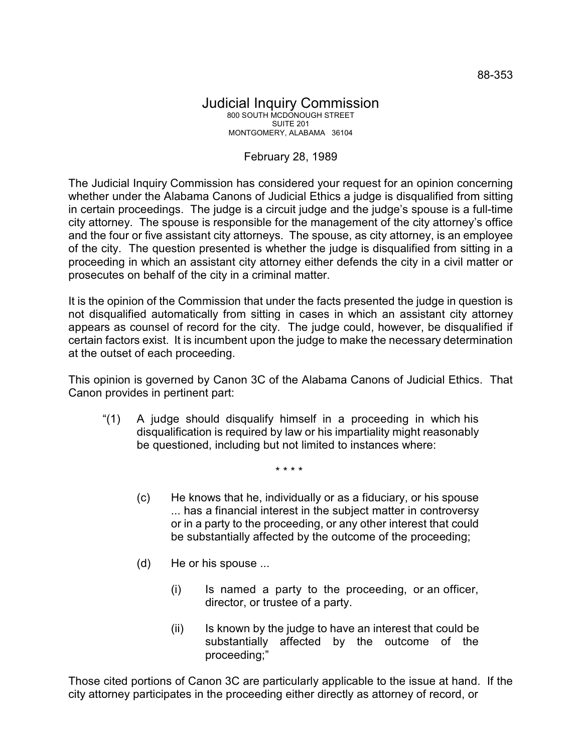## Judicial Inquiry Commission 800 SOUTH MCDONOUGH STREET SUITE 201 MONTGOMERY, ALABAMA 36104

## February 28, 1989

The Judicial Inquiry Commission has considered your request for an opinion concerning whether under the Alabama Canons of Judicial Ethics a judge is disqualified from sitting in certain proceedings. The judge is a circuit judge and the judge's spouse is a full-time city attorney. The spouse is responsible for the management of the city attorney's office and the four or five assistant city attorneys. The spouse, as city attorney, is an employee of the city. The question presented is whether the judge is disqualified from sitting in a proceeding in which an assistant city attorney either defends the city in a civil matter or prosecutes on behalf of the city in a criminal matter.

It is the opinion of the Commission that under the facts presented the judge in question is not disqualified automatically from sitting in cases in which an assistant city attorney appears as counsel of record for the city. The judge could, however, be disqualified if certain factors exist. It is incumbent upon the judge to make the necessary determination at the outset of each proceeding.

This opinion is governed by Canon 3C of the Alabama Canons of Judicial Ethics. That Canon provides in pertinent part:

"(1) A judge should disqualify himself in a proceeding in which his disqualification is required by law or his impartiality might reasonably be questioned, including but not limited to instances where:

\* \* \* \*

- (c) He knows that he, individually or as a fiduciary, or his spouse ... has a financial interest in the subject matter in controversy or in a party to the proceeding, or any other interest that could be substantially affected by the outcome of the proceeding;
- (d) He or his spouse ...
	- (i) Is named a party to the proceeding, or an officer, director, or trustee of a party.
	- (ii) Is known by the judge to have an interest that could be substantially affected by the outcome of the proceeding;"

Those cited portions of Canon 3C are particularly applicable to the issue at hand. If the city attorney participates in the proceeding either directly as attorney of record, or